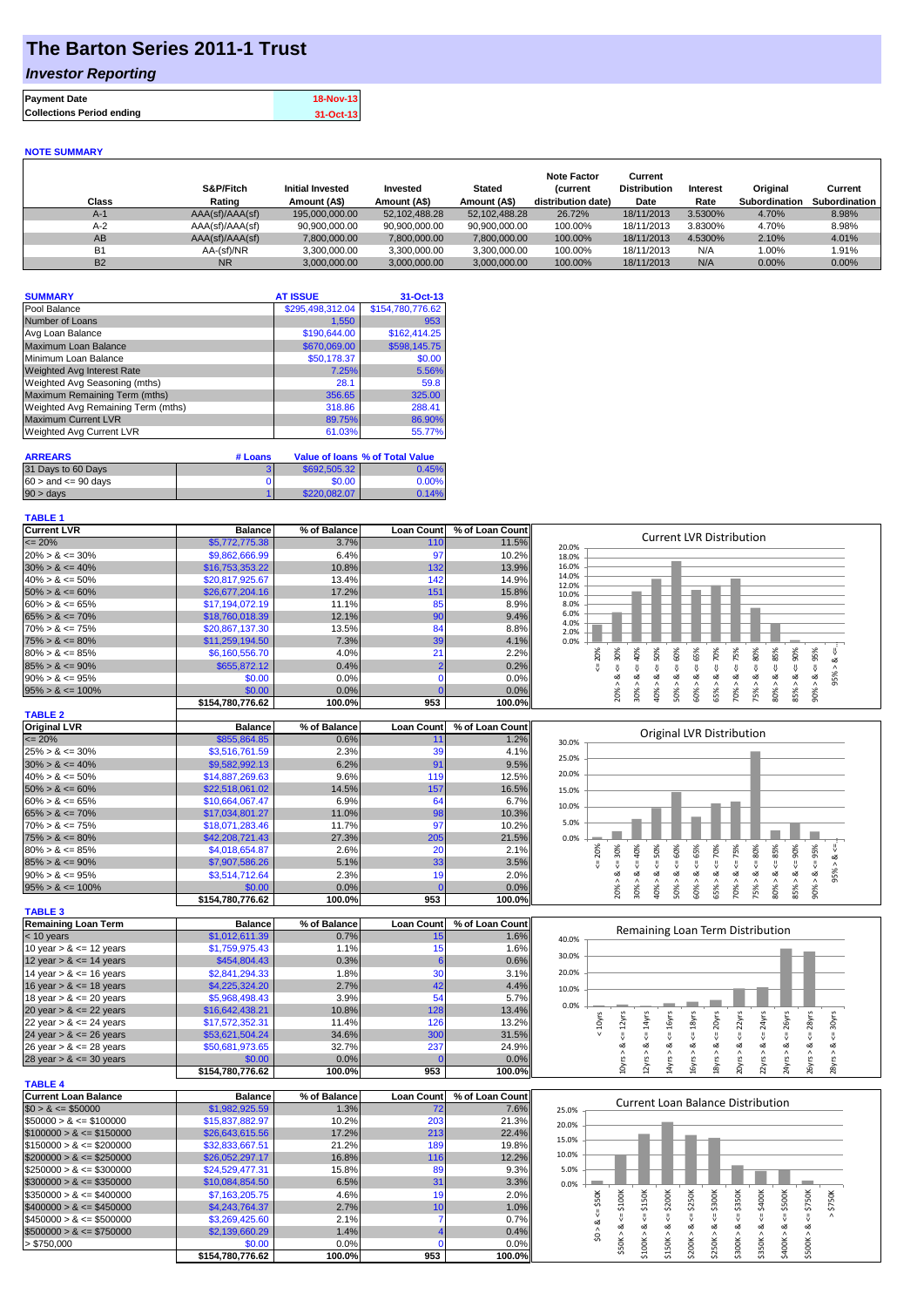# **The Barton Series 2011-1 Trust**

### *Investor Reporting*

| <b>Payment Date</b>              | <b>18-Nov-13</b> |
|----------------------------------|------------------|
| <b>Collections Period ending</b> | 31-Oct-13        |

#### **NOTE SUMMARY**

| Class     | S&P/Fitch<br>Rating | Initial Invested<br>Amount (A\$) | Invested<br>Amount (A\$) | <b>Stated</b><br>Amount (A\$) | <b>Note Factor</b><br>(current<br>distribution date) | Current<br><b>Distribution</b><br>Date | Interest<br>Rate | Original<br>Subordination | Current<br><b>Subordination</b> |
|-----------|---------------------|----------------------------------|--------------------------|-------------------------------|------------------------------------------------------|----------------------------------------|------------------|---------------------------|---------------------------------|
| $A-1$     | AAA(sf)/AAA(sf)     | 195,000,000,00                   | 52.102.488.28            | 52.102.488.28                 | 26.72%                                               | 18/11/2013                             | 3.5300%          | 4.70%                     | 8.98%                           |
| $A-2$     | AAA(sf)/AAA(sf)     | 90,900,000.00                    | 90,900,000.00            | 90.900.000.00                 | 100.00%                                              | 18/11/2013                             | 3.8300%          | 4.70%                     | 8.98%                           |
| AB        | AAA(sf)/AAA(sf)     | 7.800.000.00                     | 7.800.000.00             | 7,800,000.00                  | 100.00%                                              | 18/11/2013                             | 4.5300%          | 2.10%                     | 4.01%                           |
| <b>B1</b> | AA-(sf)/NR          | 3.300.000.00                     | 3.300.000.00             | 3.300.000.00                  | 100.00%                                              | 18/11/2013                             | N/A              | 1.00%                     | 1.91%                           |
| <b>B2</b> | <b>NR</b>           | 3.000.000.00                     | 3.000.000.00             | 3.000.000.00                  | 100.00%                                              | 18/11/2013                             | N/A              | $0.00\%$                  | $0.00\%$                        |

| <b>SUMMARY</b>                     | <b>AT ISSUE</b>  | 31-Oct-13        |
|------------------------------------|------------------|------------------|
| Pool Balance                       | \$295,498,312.04 | \$154,780,776.62 |
| Number of Loans                    | 1,550            | 953              |
| Avg Loan Balance                   | \$190,644.00     | \$162.414.25     |
| Maximum Loan Balance               | \$670,069.00     | \$598,145.75     |
| Minimum Loan Balance               | \$50,178.37      | \$0.00           |
| <b>Weighted Avg Interest Rate</b>  | 7.25%            | 5.56%            |
| Weighted Avg Seasoning (mths)      | 28.1             | 59.8             |
| Maximum Remaining Term (mths)      | 356.65           | 325.00           |
| Weighted Avg Remaining Term (mths) | 318.86           | 288.41           |
| <b>Maximum Current LVR</b>         | 89.75%           | 86.90%           |
| Weighted Avg Current LVR           | 61.03%           | 55.77%           |

| <b>ARREARS</b>            | # Loans |              | Value of Ioans % of Total Value |
|---------------------------|---------|--------------|---------------------------------|
| 31 Days to 60 Days        |         | \$692,505,32 | 0.45%                           |
| $60 >$ and $\leq 90$ days |         | \$0.00       | 0.00%                           |
| $90 > \text{days}$        |         | \$220,082.07 | 0.14%                           |

#### **TABLE 1**

| <b>Current LVR</b>          | <b>Balance</b>   | % of Balance | <b>Loan Count</b>   | % of Loan Count | <b>Current LVR Distribution</b>                                                                                                                                                                                             |
|-----------------------------|------------------|--------------|---------------------|-----------------|-----------------------------------------------------------------------------------------------------------------------------------------------------------------------------------------------------------------------------|
| $= 20%$                     | \$5,772,775.38   | 3.7%         | 11 <sup>C</sup>     | 11.5%           | 20.0%                                                                                                                                                                                                                       |
| $20\% > 8 \le 30\%$         | \$9,862,666.99   | 6.4%         | 97                  | 10.2%           | 18.0%                                                                                                                                                                                                                       |
| $30\% > 8 \le 40\%$         | \$16,753,353.22  | 10.8%        | 132                 | 13.9%           | 16.0%                                                                                                                                                                                                                       |
| $40\% > 8 \le 50\%$         | \$20,817,925.67  | 13.4%        | 142                 | 14.9%           | 14.0%                                                                                                                                                                                                                       |
| $50\% > 8 \le 60\%$         | \$26,677,204.16  | 17.2%        | 151                 | 15.8%           | 12.0%<br>10.0%                                                                                                                                                                                                              |
| $60\% > 8 \le 65\%$         | \$17,194,072.19  | 11.1%        | 85                  | 8.9%            | 8.0%                                                                                                                                                                                                                        |
| $65\% > 8 \le 70\%$         | \$18,760,018.39  | 12.1%        | 90                  | 9.4%            | 6.0%                                                                                                                                                                                                                        |
| $70\% > 8 \le 75\%$         | \$20,867,137.30  | 13.5%        | 84                  | 8.8%            | 4.0%                                                                                                                                                                                                                        |
| $75\% > 8 \le 80\%$         | \$11,259,194.50  | 7.3%         | 39                  | 4.1%            | 2.0%<br>0.0%                                                                                                                                                                                                                |
| $80\% > 8 \le 85\%$         | \$6,160,556.70   | 4.0%         | 21                  | 2.2%            | 80%<br>50%<br>60%<br>20%<br>70%                                                                                                                                                                                             |
| $85\% > 8 \le 90\%$         | \$655,872.12     | 0.4%         | 2                   | 0.2%            | $<=30%$<br>$<=75%$<br>$<= 85\%$<br>$<=65%$<br>$<=90\%$<br>$<=40\%$<br>$< = 95%$<br>95% > 8 <<br>IJ,<br>IJ,                                                                                                                  |
| $90\% > 8 \le 95\%$         | \$0.00           | 0.0%         | <b>C</b>            | 0.0%            | $<=$<br>Ŷ,<br>ૐ<br>$\dot{\infty}$<br>ઌ<br>ઌ                                                                                                                                                                                 |
| $95\% > 8 \le 100\%$        | \$0.00           | 0.0%         | $\Omega$            | 0.0%            | $90\% > 80$                                                                                                                                                                                                                 |
|                             | \$154,780,776.62 | 100.0%       | 953                 | 100.0%          | 20%<br>80%<br>30%<br>40% ><br>50%<br>60%<br>65% ><br>70% ><br>75%<br>85% >                                                                                                                                                  |
|                             |                  |              |                     |                 |                                                                                                                                                                                                                             |
| <b>TABLE 2</b>              |                  |              |                     |                 |                                                                                                                                                                                                                             |
| Original LVR                | <b>Balance</b>   | % of Balance | <b>Loan Count</b>   | % of Loan Count | Original LVR Distribution                                                                                                                                                                                                   |
| $\epsilon = 20\%$           | \$855,864.85     | 0.6%         | 11                  | 1.2%            | 30.0%                                                                                                                                                                                                                       |
| $25\% > 8 \le 30\%$         | \$3,516,761.59   | 2.3%         | 39                  | 4.1%            | 25.0%                                                                                                                                                                                                                       |
| $30\% > 8 \le 40\%$         | \$9,582,992.13   | 6.2%         | 91                  | 9.5%            |                                                                                                                                                                                                                             |
| $40\% > 8 \le 50\%$         | \$14,887,269.63  | 9.6%         | 119                 | 12.5%           | 20.0%                                                                                                                                                                                                                       |
| $50\% > 8 \le 60\%$         | \$22,518,061.02  | 14.5%        | 157                 | 16.5%           | 15.0%                                                                                                                                                                                                                       |
| $60\% > 8 \le 65\%$         | \$10,664,067.47  | 6.9%         | 64                  | 6.7%            | 10.0%                                                                                                                                                                                                                       |
| $65\% > 8 \le 70\%$         | \$17,034,801.27  | 11.0%        | 98                  | 10.3%           |                                                                                                                                                                                                                             |
| $70\% > 8 \le 75\%$         | \$18,071,283.46  | 11.7%        | 97                  | 10.2%           | 5.0%                                                                                                                                                                                                                        |
| $75\% > 8 \le 80\%$         | \$42,208,721.43  | 27.3%        | 205                 | 21.5%           | 0.0%                                                                                                                                                                                                                        |
| $80\% > 8 \le 85\%$         | \$4,018,654.87   | 2.6%         | 20                  | 2.1%            | 80%<br>50%<br>60%<br>20%                                                                                                                                                                                                    |
| $85\% > 8 \le 90\%$         | \$7,907,586.26   | 5.1%         | 33                  | 3.5%            | $<=65%$<br>$<=75%$<br>$&\texttt{<=85\%}$<br>$<=90\%$<br>$<=30%$<br>$<=70%$<br>$<=40\%$<br>₹                                                                                                                                 |
| $90\% > 8 \le 95\%$         | \$3,514,712.64   | 2.3%         | 19                  | 2.0%            | $90\% > 8 \le 95\%$<br>$95% > 8 <=$<br>$\<=$<br>$\<=$<br>ಷ                                                                                                                                                                  |
| $95\% > 8 \le 100\%$        | \$0.00           | 0.0%         | $\mathbf{C}$        | 0.0%            | 80%<br>20%<br>30% ><br>40% ><br>60% ><br>70% ><br>75%<br>85%<br>50% ><br>65% >                                                                                                                                              |
|                             | \$154,780,776.62 | 100.0%       | 953                 | 100.0%          |                                                                                                                                                                                                                             |
| <b>TABLE 3</b>              |                  |              |                     |                 |                                                                                                                                                                                                                             |
| <b>Remaining Loan Term</b>  | <b>Balance</b>   | % of Balance | <b>Loan Count</b>   | % of Loan Count |                                                                                                                                                                                                                             |
| $<$ 10 years                | \$1,012,611.39   | 0.7%         | 15                  | 1.6%            | Remaining Loan Term Distribution<br>40.0%                                                                                                                                                                                   |
| 10 year $> 8 \le 12$ years  | \$1,759,975.43   | 1.1%         | 15                  | 1.6%            |                                                                                                                                                                                                                             |
| 12 year $> 8 \le 14$ years  | \$454,804.43     | 0.3%         |                     | 0.6%            | 30.0%                                                                                                                                                                                                                       |
| 14 year $> 8 \le 16$ years  | \$2,841,294.33   | 1.8%         | 30                  | 3.1%            | 20.0%                                                                                                                                                                                                                       |
| 16 year $> 8 \le 18$ years  | \$4,225,324.20   | 2.7%         | 42                  | 4.4%            |                                                                                                                                                                                                                             |
| 18 year $> 8 \le 20$ years  | \$5,968,498.43   | 3.9%         | 54                  | 5.7%            | 10.0%                                                                                                                                                                                                                       |
| 20 year $> 8 \le 22$ years  | \$16,642,438.21  | 10.8%        | 128                 | 13.4%           | 0.0%                                                                                                                                                                                                                        |
| 22 year $> 8 \le 24$ years  | \$17,572,352.31  | 11.4%        | 126                 | 13.2%           |                                                                                                                                                                                                                             |
| 24 year $> 8 \le 26$ years  | \$53,621,504.24  | 34.6%        | 300                 | 31.5%           | $\leq$ = 22 $\gamma$ rs<br>$< 10$ yrs                                                                                                                                                                                       |
|                             |                  | 32.7%        |                     | 24.9%           |                                                                                                                                                                                                                             |
| 26 year $> 8 \le 28$ years  | \$50,681,973.65  |              | 237<br>$\mathbf{C}$ |                 |                                                                                                                                                                                                                             |
| 28 year $> 8 \le 30$ years  | \$0.00           | 0.0%         |                     | 0.0%            | $8yrs > 8 <= 20yrs$<br>$24yrs > 8 <= 26yrs$<br>$22yrs > 8 <= 24yrs$<br>$26yrs > 8 <= 28yrs$<br>$28yrs > 8 \leq 30yrs$<br>$10yrs > 8c = 12yrs$<br>$12yrs > 8c = 14yrs$<br>4yrs > 8 < 16yrs<br>16yrs > 8 < 18yrs<br>20yrs > 8 |
|                             | \$154,780,776.62 | 100.0%       | 953                 | 100.0%          |                                                                                                                                                                                                                             |
| <b>TABLE 4</b>              |                  |              |                     |                 |                                                                                                                                                                                                                             |
| <b>Current Loan Balance</b> | <b>Balance</b>   | % of Balance | <b>Loan Count</b>   | % of Loan Count | <b>Current Loan Balance Distribution</b>                                                                                                                                                                                    |
| $$0 > 8 \leq $50000$        | \$1,982,925.59   | 1.3%         | <b>72</b>           | 7.6%            | 25.0%                                                                                                                                                                                                                       |
| $$50000 > 8 \le $100000$    | \$15,837,882.97  | 10.2%        | 203                 | 21.3%           | 20.0%                                                                                                                                                                                                                       |
| $$100000 > 8 \leq $150000$  | \$26,643,615.56  | 17.2%        | 213                 | 22.4%           | 15.0%                                                                                                                                                                                                                       |
| $$150000 > 8 \le $200000$   | \$32,833,667.51  | 21.2%        | 189                 | 19.8%           |                                                                                                                                                                                                                             |
| $$200000 > 8 \leq $250000$  | \$26,052,297.17  | 16.8%        | 116                 | 12.2%           | 10.0%                                                                                                                                                                                                                       |
| $$250000 > 8 \leq $300000$  | \$24,529,477.31  | 15.8%        | 89                  | 9.3%            | 5.0%                                                                                                                                                                                                                        |
| $$300000 > 8 \leq $350000$  | \$10,084,854.50  | 6.5%         | 31                  | 3.3%            | 0.0%                                                                                                                                                                                                                        |
| $$350000 > 8 \leq $400000$  | \$7,163,205.75   | 4.6%         | 19                  | 2.0%            | \$250K<br>\$300K<br>\$350K<br>\$100K<br>\$150K<br>\$400K                                                                                                                                                                    |
| $$400000 > 8 \leq $450000$  | \$4,243,764.37   | 2.7%         | 10                  | 1.0%            | \$200K<br>\$500K<br>$\le$ \$50K<br>$4 = $750K$<br>\$750K                                                                                                                                                                    |
| $$450000 > 8 \leq $500000$  | \$3,269,425.60   | 2.1%         | $\overline{7}$      | 0.7%            | V<br>V                                                                                                                                                                                                                      |
| $$500000 > 8 \leq $750000$  | \$2,139,660.29   | 1.4%         |                     | 0.4%            | \$0 > 8                                                                                                                                                                                                                     |
| > \$750,000                 | \$0.00           | 0.0%         | £                   | 0.0%            | $$50K > 8 <=$<br>$$150K > 8 <=$<br>$$200K > 8 <=$<br>\$250K > 8 <<br>\$300K > 8 <<br>\$100K > 8 <<br>\$350K > 8<br>\$400K > 8<br>\$500K > 8                                                                                 |
|                             | \$154,780,776.62 | 100.0%       | 953                 | 100.0%          |                                                                                                                                                                                                                             |
|                             |                  |              |                     |                 |                                                                                                                                                                                                                             |